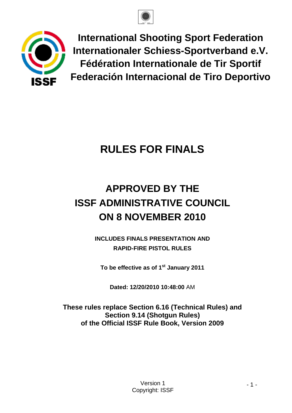



**International Shooting Sport Federation Internationaler Schiess-Sportverband e.V. Fédération Internationale de Tir Sportif Federación Internacional de Tiro Deportivo**

# **RULES FOR FINALS**

# **APPROVED BY THE ISSF ADMINISTRATIVE COUNCIL ON 8 NOVEMBER 2010**

**INCLUDES FINALS PRESENTATION AND RAPID-FIRE PISTOL RULES**

**To be effective as of 1st January 2011**

**Dated: 12/20/2010 10:48:00** AM

**These rules replace Section 6.16 (Technical Rules) and Section 9.14 (Shotgun Rules) of the Official ISSF Rule Book, Version 2009**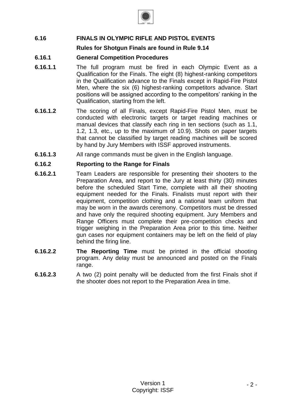

# **6.16 FINALS IN OLYMPIC RIFLE AND PISTOL EVENTS**

# **Rules for Shotgun Finals are found in Rule 9.14**

# **6.16.1 General Competition Procedures**

- **6.16.1.1** The full program must be fired in each Olympic Event as a Qualification for the Finals. The eight (8) highest-ranking competitors in the Qualification advance to the Finals except in Rapid-Fire Pistol Men, where the six (6) highest-ranking competitors advance. Start positions will be assigned according to the competitors' ranking in the Qualification, starting from the left.
- **6.16.1.2** The scoring of all Finals, except Rapid-Fire Pistol Men, must be conducted with electronic targets or target reading machines or manual devices that classify each ring in ten sections (such as 1.1, 1.2, 1.3, etc., up to the maximum of 10.9). Shots on paper targets that cannot be classified by target reading machines will be scored by hand by Jury Members with ISSF approved instruments.
- **6.16.1.3** All range commands must be given in the English language.

### **6.16.2 Reporting to the Range for Finals**

- **6.16.2.1** Team Leaders are responsible for presenting their shooters to the Preparation Area, and report to the Jury at least thirty (30) minutes before the scheduled Start Time, complete with all their shooting equipment needed for the Finals. Finalists must report with their equipment, competition clothing and a national team uniform that may be worn in the awards ceremony. Competitors must be dressed and have only the required shooting equipment. Jury Members and Range Officers must complete their pre-competition checks and trigger weighing in the Preparation Area prior to this time. Neither gun cases nor equipment containers may be left on the field of play behind the firing line.
- **6.16.2.2 The Reporting Time** must be printed in the official shooting program. Any delay must be announced and posted on the Finals range.
- **6.16.2.3** A two (2) point penalty will be deducted from the first Finals shot if the shooter does not report to the Preparation Area in time.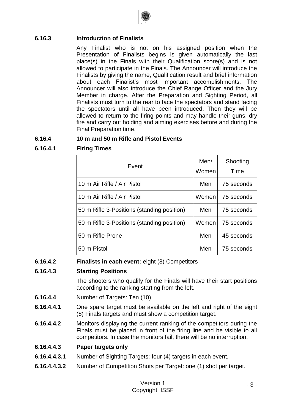

# **6.16.3 Introduction of Finalists**

Any Finalist who is not on his assigned position when the Presentation of Finalists begins is given automatically the last place(s) in the Finals with their Qualification score(s) and is not allowed to participate in the Finals. The Announcer will introduce the Finalists by giving the name, Qualification result and brief information about each Finalist's most important accomplishments. The Announcer will also introduce the Chief Range Officer and the Jury Member in charge. After the Preparation and Sighting Period, all Finalists must turn to the rear to face the spectators and stand facing the spectators until all have been introduced. Then they will be allowed to return to the firing points and may handle their guns, dry fire and carry out holding and aiming exercises before and during the Final Preparation time.

# **6.16.4 10 m and 50 m Rifle and Pistol Events**

# **6.16.4.1 Firing Times**

| Event                                      | Men/<br>Women | Shooting<br>Time |
|--------------------------------------------|---------------|------------------|
| 10 m Air Rifle / Air Pistol                | Men           | 75 seconds       |
| 10 m Air Rifle / Air Pistol                | Women         | 75 seconds       |
| 50 m Rifle 3-Positions (standing position) | Men           | 75 seconds       |
| 50 m Rifle 3-Positions (standing position) | Women         | 75 seconds       |
| 50 m Rifle Prone                           | Men           | 45 seconds       |
| 50 m Pistol                                | Men           | 75 seconds       |

# **6.16.4.2 Finalists in each event:** eight (8) Competitors

### **6.16.4.3 Starting Positions**

The shooters who qualify for the Finals will have their start positions according to the ranking starting from the left.

- **6.16.4.4** Number of Targets: Ten (10)
- **6.16.4.4.1** One spare target must be available on the left and right of the eight (8) Finals targets and must show a competition target.
- **6.16.4.4.2** Monitors displaying the current ranking of the competitors during the Finals must be placed in front of the firing line and be visible to all competitors. In case the monitors fail, there will be no interruption.

### **6.16.4.4.3 Paper targets only**

- **6.16.4.4.3.1** Number of Sighting Targets: four (4) targets in each event.
- **6.16.4.4.3.2** Number of Competition Shots per Target: one (1) shot per target.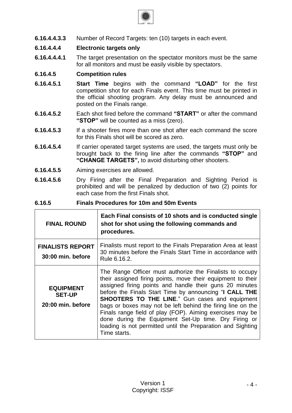

**6.16.4.4.3.3** Number of Record Targets: ten (10) targets in each event.

# **6.16.4.4.4 Electronic targets only**

**6.16.4.4.4.1** The target presentation on the spectator monitors must be the same for all monitors and must be easily visible by spectators.

# **6.16.4.5 Competition rules**

- **6.16.4.5.1 Start Time** begins with the command **"LOAD"** for the first competition shot for each Finals event. This time must be printed in the official shooting program. Any delay must be announced and posted on the Finals range.
- **6.16.4.5.2** Each shot fired before the command **"START"** or after the command **"STOP"** will be counted as a miss (zero).
- **6.16.4.5.3** If a shooter fires more than one shot after each command the score for this Finals shot will be scored as zero.
- **6.16.4.5.4** If carrier operated target systems are used, the targets must only be brought back to the firing line after the commands **"STOP"** and **"CHANGE TARGETS",** to avoid disturbing other shooters.
- **6.16.4.5.5** Aiming exercises are allowed.
- **6.16.4.5.6** Dry Firing after the Final Preparation and Sighting Period is prohibited and will be penalized by deduction of two (2) points for each case from the first Finals shot.

### **6.16.5 Finals Procedures for 10m and 50m Events**

| <b>FINAL ROUND</b>                                     | Each Final consists of 10 shots and is conducted single<br>shot for shot using the following commands and<br>procedures.                                                                                                                                                                                                                                                                                                                                                                                                                                                 |
|--------------------------------------------------------|--------------------------------------------------------------------------------------------------------------------------------------------------------------------------------------------------------------------------------------------------------------------------------------------------------------------------------------------------------------------------------------------------------------------------------------------------------------------------------------------------------------------------------------------------------------------------|
| <b>FINALISTS REPORT</b><br>30:00 min. before           | Finalists must report to the Finals Preparation Area at least<br>30 minutes before the Finals Start Time in accordance with<br>Rule 6.16.2.                                                                                                                                                                                                                                                                                                                                                                                                                              |
| <b>EQUIPMENT</b><br><b>SET-UP</b><br>20:00 min. before | The Range Officer must authorize the Finalists to occupy<br>their assigned firing points, move their equipment to their<br>assigned firing points and handle their guns 20 minutes<br>before the Finals Start Time by announcing "I CALL THE<br><b>SHOOTERS TO THE LINE."</b> Gun cases and equipment<br>bags or boxes may not be left behind the firing line on the<br>Finals range field of play (FOP). Aiming exercises may be<br>done during the Equipment Set-Up time. Dry Firing or<br>loading is not permitted until the Preparation and Sighting<br>Time starts. |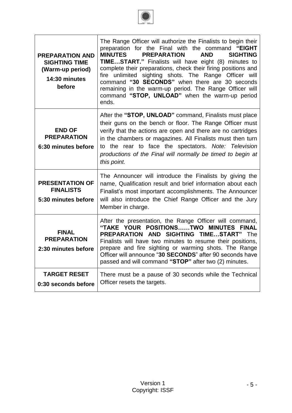

| <b>PREPARATION AND</b><br><b>SIGHTING TIME</b><br>(Warm-up period)<br>14:30 minutes<br>before | The Range Officer will authorize the Finalists to begin their<br>preparation for the Final with the command "EIGHT<br><b>MINUTES</b><br><b>PREPARATION</b><br><b>AND</b><br><b>SIGHTING</b><br>TIMESTART." Finalists will have eight (8) minutes to<br>complete their preparations, check their firing positions and<br>fire unlimited sighting shots. The Range Officer will<br>command "30 SECONDS" when there are 30 seconds<br>remaining in the warm-up period. The Range Officer will<br>command "STOP, UNLOAD" when the warm-up period<br>ends. |
|-----------------------------------------------------------------------------------------------|-------------------------------------------------------------------------------------------------------------------------------------------------------------------------------------------------------------------------------------------------------------------------------------------------------------------------------------------------------------------------------------------------------------------------------------------------------------------------------------------------------------------------------------------------------|
| <b>END OF</b><br><b>PREPARATION</b><br>6:30 minutes before                                    | After the "STOP, UNLOAD" command, Finalists must place<br>their guns on the bench or floor. The Range Officer must<br>verify that the actions are open and there are no cartridges<br>in the chambers or magazines. All Finalists must then turn<br>to the rear to face the spectators. Note: Television<br>productions of the Final will normally be timed to begin at<br>this point.                                                                                                                                                                |
| <b>PRESENTATION OF</b><br><b>FINALISTS</b><br>5:30 minutes before                             | The Announcer will introduce the Finalists by giving the<br>name, Qualification result and brief information about each<br>Finalist's most important accomplishments. The Announcer<br>will also introduce the Chief Range Officer and the Jury<br>Member in charge.                                                                                                                                                                                                                                                                                  |
| <b>FINAL</b><br><b>PREPARATION</b><br>2:30 minutes before                                     | After the presentation, the Range Officer will command,<br>"TAKE YOUR POSITIONSTWO<br><b>MINUTES</b><br><b>FINAL</b><br><b>PREPARATION AND SIGHTING TIMESTART"</b> The<br>Finalists will have two minutes to resume their positions,<br>prepare and fire sighting or warming shots. The Range<br>Officer will announce "30 SECONDS" after 90 seconds have<br>passed and will command "STOP" after two (2) minutes.                                                                                                                                    |
| <b>TARGET RESET</b><br>0:30 seconds before                                                    | There must be a pause of 30 seconds while the Technical<br>Officer resets the targets.                                                                                                                                                                                                                                                                                                                                                                                                                                                                |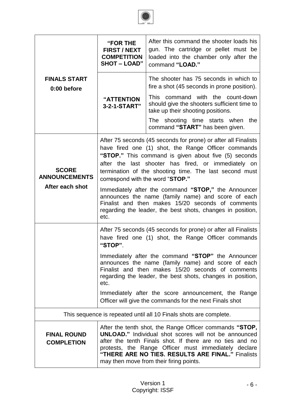

|                                         | <b>"FOR THE</b><br><b>FIRST / NEXT</b><br><b>COMPETITION</b><br><b>SHOT - LOAD"</b>                                                                                                                                                                                                                                                                   | After this command the shooter loads his<br>gun. The cartridge or pellet must be<br>loaded into the chamber only after the<br>command "LOAD."                                                                                                                                                  |  |  |  |
|-----------------------------------------|-------------------------------------------------------------------------------------------------------------------------------------------------------------------------------------------------------------------------------------------------------------------------------------------------------------------------------------------------------|------------------------------------------------------------------------------------------------------------------------------------------------------------------------------------------------------------------------------------------------------------------------------------------------|--|--|--|
| <b>FINALS START</b><br>0:00 before      |                                                                                                                                                                                                                                                                                                                                                       | The shooter has 75 seconds in which to<br>fire a shot (45 seconds in prone position).                                                                                                                                                                                                          |  |  |  |
|                                         | "ATTENTION<br>3-2-1-START"                                                                                                                                                                                                                                                                                                                            | This command with the count-down<br>should give the shooters sufficient time to<br>take up their shooting positions.                                                                                                                                                                           |  |  |  |
|                                         |                                                                                                                                                                                                                                                                                                                                                       | The shooting time starts when the<br>command "START" has been given.                                                                                                                                                                                                                           |  |  |  |
| <b>SCORE</b><br><b>ANNOUNCEMENTS</b>    | correspond with the word "STOP."                                                                                                                                                                                                                                                                                                                      | After 75 seconds (45 seconds for prone) or after all Finalists<br>have fired one (1) shot, the Range Officer commands<br>"STOP." This command is given about five (5) seconds<br>after the last shooter has fired, or immediately on<br>termination of the shooting time. The last second must |  |  |  |
| After each shot                         | Immediately after the command "STOP," the Announcer<br>announces the name (family name) and score of each<br>Finalist and then makes 15/20 seconds of comments<br>regarding the leader, the best shots, changes in position,<br>etc.                                                                                                                  |                                                                                                                                                                                                                                                                                                |  |  |  |
|                                         | After 75 seconds (45 seconds for prone) or after all Finalists<br>have fired one (1) shot, the Range Officer commands<br>"STOP".                                                                                                                                                                                                                      |                                                                                                                                                                                                                                                                                                |  |  |  |
|                                         | Immediately after the command "STOP" the Announcer<br>announces the name (family name) and score of each<br>Finalist and then makes 15/20 seconds of comments<br>regarding the leader, the best shots, changes in position,<br>etc.<br>Immediately after the score announcement, the Range<br>Officer will give the commands for the next Finals shot |                                                                                                                                                                                                                                                                                                |  |  |  |
|                                         |                                                                                                                                                                                                                                                                                                                                                       |                                                                                                                                                                                                                                                                                                |  |  |  |
|                                         |                                                                                                                                                                                                                                                                                                                                                       | This sequence is repeated until all 10 Finals shots are complete.                                                                                                                                                                                                                              |  |  |  |
| <b>FINAL ROUND</b><br><b>COMPLETION</b> | After the tenth shot, the Range Officer commands "STOP,<br><b>UNLOAD."</b> Individual shot scores will not be announced<br>after the tenth Finals shot. If there are no ties and no<br>protests, the Range Officer must immediately declare<br>"THERE ARE NO TIES. RESULTS ARE FINAL." Finalists<br>may then move from their firing points.           |                                                                                                                                                                                                                                                                                                |  |  |  |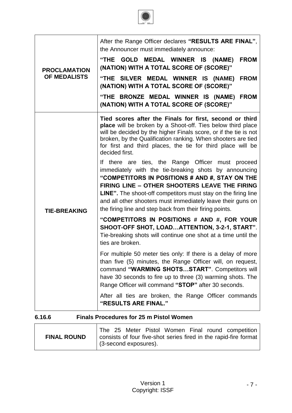

| <b>PROCLAMATION</b><br><b>OF MEDALISTS</b> | After the Range Officer declares "RESULTS ARE FINAL",<br>the Announcer must immediately announce:                                                                                                                                                                                                                                                                                                               |  |  |  |  |
|--------------------------------------------|-----------------------------------------------------------------------------------------------------------------------------------------------------------------------------------------------------------------------------------------------------------------------------------------------------------------------------------------------------------------------------------------------------------------|--|--|--|--|
|                                            | "THE GOLD MEDAL WINNER IS (NAME)<br><b>FROM</b><br>(NATION) WITH A TOTAL SCORE OF (SCORE)"                                                                                                                                                                                                                                                                                                                      |  |  |  |  |
|                                            | "THE SILVER MEDAL WINNER IS (NAME)<br><b>FROM</b><br>(NATION) WITH A TOTAL SCORE OF (SCORE)"                                                                                                                                                                                                                                                                                                                    |  |  |  |  |
|                                            | "THE BRONZE MEDAL WINNER IS (NAME) FROM<br>(NATION) WITH A TOTAL SCORE OF (SCORE)"                                                                                                                                                                                                                                                                                                                              |  |  |  |  |
| <b>TIE-BREAKING</b>                        | Tied scores after the Finals for first, second or third<br>place will be broken by a Shoot-off. Ties below third place<br>will be decided by the higher Finals score, or if the tie is not<br>broken, by the Qualification ranking. When shooters are tied<br>for first and third places, the tie for third place will be<br>decided first.                                                                     |  |  |  |  |
|                                            | If there are ties, the Range Officer must proceed<br>immediately with the tie-breaking shots by announcing<br>"COMPETITORS IN POSITIONS # AND #, STAY ON THE<br>FIRING LINE - OTHER SHOOTERS LEAVE THE FIRING<br><b>LINE".</b> The shoot-off competitors must stay on the firing line<br>and all other shooters must immediately leave their guns on<br>the firing line and step back from their firing points. |  |  |  |  |
|                                            | "COMPETITORS IN POSITIONS # AND #, FOR YOUR<br>SHOOT-OFF SHOT, LOADATTENTION, 3-2-1, START".<br>Tie-breaking shots will continue one shot at a time until the<br>ties are broken.                                                                                                                                                                                                                               |  |  |  |  |
|                                            | For multiple 50 meter ties only: If there is a delay of more<br>than five (5) minutes, the Range Officer will, on request,<br>command "WARMING SHOTSSTART". Competitors will<br>have 30 seconds to fire up to three (3) warming shots. The<br>Range Officer will command "STOP" after 30 seconds.                                                                                                               |  |  |  |  |
|                                            | After all ties are broken, the Range Officer commands<br>"RESULTS ARE FINAL."                                                                                                                                                                                                                                                                                                                                   |  |  |  |  |

# **6.16.6 Finals Procedures for 25 m Pistol Women**

|                    |  |                               |  |  | The 25 Meter Pistol Women Final round competition                |
|--------------------|--|-------------------------------|--|--|------------------------------------------------------------------|
| <b>FINAL ROUND</b> |  | $\vert$ (3-second exposures). |  |  | consists of four five-shot series fired in the rapid-fire format |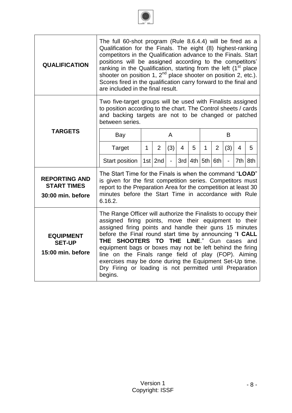

| <b>QUALIFICATION</b>                                            | The full 60-shot program (Rule 8.6.4.4) will be fired as a<br>Qualification for the Finals. The eight (8) highest-ranking<br>competitors in the Qualification advance to the Finals. Start<br>positions will be assigned according to the competitors'<br>ranking in the Qualification, starting from the left (1 <sup>st</sup> place<br>shooter on position 1, 2 <sup>nd</sup> place shooter on position 2, etc.).<br>Scores fired in the qualification carry forward to the final and<br>are included in the final result.                                                   |             |                |               |   |           |     |                |                |                |     |
|-----------------------------------------------------------------|--------------------------------------------------------------------------------------------------------------------------------------------------------------------------------------------------------------------------------------------------------------------------------------------------------------------------------------------------------------------------------------------------------------------------------------------------------------------------------------------------------------------------------------------------------------------------------|-------------|----------------|---------------|---|-----------|-----|----------------|----------------|----------------|-----|
|                                                                 | Two five-target groups will be used with Finalists assigned<br>to position according to the chart. The Control sheets / cards<br>and backing targets are not to be changed or patched<br>between series.                                                                                                                                                                                                                                                                                                                                                                       |             |                |               |   |           |     |                |                |                |     |
| <b>TARGETS</b>                                                  | Bay                                                                                                                                                                                                                                                                                                                                                                                                                                                                                                                                                                            |             |                | A             |   |           |     |                | B              |                |     |
|                                                                 | Target                                                                                                                                                                                                                                                                                                                                                                                                                                                                                                                                                                         | $\mathbf 1$ | $\overline{2}$ | (3)           | 4 | 5         | 1   | $\overline{2}$ | (3)            | $\overline{4}$ | 5   |
|                                                                 | <b>Start position</b>                                                                                                                                                                                                                                                                                                                                                                                                                                                                                                                                                          |             | $1st$ 2nd      | $\frac{1}{2}$ |   | $3rd$ 4th | 5th | 6th            | $\blacksquare$ | 7th            | 8th |
| <b>REPORTING AND</b><br><b>START TIMES</b><br>30:00 min. before | The Start Time for the Finals is when the command "LOAD"<br>is given for the first competition series. Competitors must<br>report to the Preparation Area for the competition at least 30<br>minutes before the Start Time in accordance with Rule<br>6.16.2.                                                                                                                                                                                                                                                                                                                  |             |                |               |   |           |     |                |                |                |     |
| <b>EQUIPMENT</b><br><b>SET-UP</b><br>15:00 min. before          | The Range Officer will authorize the Finalists to occupy their<br>assigned firing points, move their equipment to their<br>assigned firing points and handle their guns 15 minutes<br>before the Final round start time by announcing "I CALL<br><b>LINE.</b> "<br>THE SHOOTERS TO<br><b>THE</b><br>Gun<br>and<br>cases<br>equipment bags or boxes may not be left behind the firing<br>line on the Finals range field of play (FOP). Aiming<br>exercises may be done during the Equipment Set-Up time.<br>Dry Firing or loading is not permitted until Preparation<br>begins. |             |                |               |   |           |     |                |                |                |     |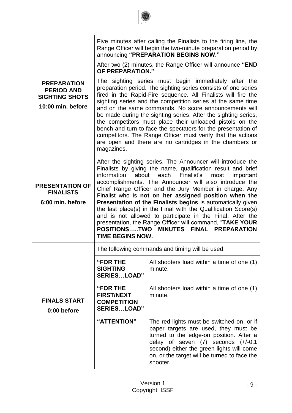|                                                                                       |                                                                                                                                                                                                                                                                                                                                                                                                                                                                                                                                                                                                                                                                                                                          | Five minutes after calling the Finalists to the firing line, the<br>Range Officer will begin the two-minute preparation period by<br>announcing "PREPARATION BEGINS NOW."                                                                                                        |  |  |  |
|---------------------------------------------------------------------------------------|--------------------------------------------------------------------------------------------------------------------------------------------------------------------------------------------------------------------------------------------------------------------------------------------------------------------------------------------------------------------------------------------------------------------------------------------------------------------------------------------------------------------------------------------------------------------------------------------------------------------------------------------------------------------------------------------------------------------------|----------------------------------------------------------------------------------------------------------------------------------------------------------------------------------------------------------------------------------------------------------------------------------|--|--|--|
|                                                                                       | <b>OF PREPARATION."</b>                                                                                                                                                                                                                                                                                                                                                                                                                                                                                                                                                                                                                                                                                                  | After two (2) minutes, the Range Officer will announce "END                                                                                                                                                                                                                      |  |  |  |
| <b>PREPARATION</b><br><b>PERIOD AND</b><br><b>SIGHTING SHOTS</b><br>10:00 min. before | The sighting series must begin immediately after the<br>preparation period. The sighting series consists of one series<br>fired in the Rapid-Fire sequence. All Finalists will fire the<br>sighting series and the competition series at the same time<br>and on the same commands. No score announcements will<br>be made during the sighting series. After the sighting series,<br>the competitors must place their unloaded pistols on the<br>bench and turn to face the spectators for the presentation of<br>competitors. The Range Officer must verify that the actions<br>are open and there are no cartridges in the chambers or<br>magazines.                                                                   |                                                                                                                                                                                                                                                                                  |  |  |  |
| <b>PRESENTATION OF</b><br><b>FINALISTS</b><br>6:00 min. before                        | After the sighting series, The Announcer will introduce the<br>Finalists by giving the name, qualification result and brief<br>about each Finalist's<br>information<br>most<br>important<br>accomplishments. The Announcer will also introduce the<br>Chief Range Officer and the Jury Member in charge. Any<br>Finalist who is not on her assigned position when the<br>Presentation of the Finalists begins is automatically given<br>the last place(s) in the Final with the Qualification Score(s)<br>and is not allowed to participate in the Final. After the<br>presentation, the Range Officer will command, "TAKE YOUR<br><b>POSITIONSTWO</b><br><b>MINUTES</b><br>FINAL PREPARATION<br><b>TIME BEGINS NOW.</b> |                                                                                                                                                                                                                                                                                  |  |  |  |
|                                                                                       |                                                                                                                                                                                                                                                                                                                                                                                                                                                                                                                                                                                                                                                                                                                          | The following commands and timing will be used:                                                                                                                                                                                                                                  |  |  |  |
|                                                                                       | "FOR THE<br><b>SIGHTING</b><br><b>SERIESLOAD"</b>                                                                                                                                                                                                                                                                                                                                                                                                                                                                                                                                                                                                                                                                        | All shooters load within a time of one (1)<br>minute.                                                                                                                                                                                                                            |  |  |  |
| <b>FINALS START</b><br>0:00 before                                                    | "FOR THE<br><b>FIRST/NEXT</b><br><b>COMPETITION</b><br><b>SERIESLOAD"</b>                                                                                                                                                                                                                                                                                                                                                                                                                                                                                                                                                                                                                                                | All shooters load within a time of one (1)<br>minute.                                                                                                                                                                                                                            |  |  |  |
|                                                                                       | "ATTENTION"                                                                                                                                                                                                                                                                                                                                                                                                                                                                                                                                                                                                                                                                                                              | The red lights must be switched on, or if<br>paper targets are used, they must be<br>turned to the edge-on position. After a<br>delay of seven $(7)$ seconds $(+/-0.1)$<br>second) either the green lights will come<br>on, or the target will be turned to face the<br>shooter. |  |  |  |

1 2 3 4 5 6 7 8 8 7 6 5 4 3 2 1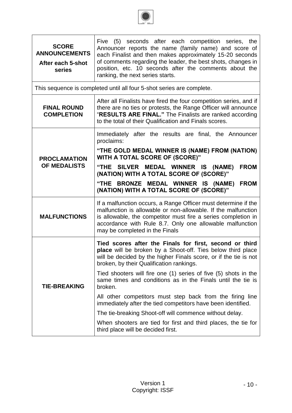

| <b>SCORE</b><br><b>ANNOUNCEMENTS</b><br>After each 5-shot<br>series | Five (5) seconds after each competition series, the<br>Announcer reports the name (family name) and score of<br>each Finalist and then makes approximately 15-20 seconds<br>of comments regarding the leader, the best shots, changes in<br>position, etc. 10 seconds after the comments about the<br>ranking, the next series starts. |
|---------------------------------------------------------------------|----------------------------------------------------------------------------------------------------------------------------------------------------------------------------------------------------------------------------------------------------------------------------------------------------------------------------------------|
|                                                                     | This sequence is completed until all four 5-shot series are complete.                                                                                                                                                                                                                                                                  |
| <b>FINAL ROUND</b><br><b>COMPLETION</b>                             | After all Finalists have fired the four competition series, and if<br>there are no ties or protests, the Range Officer will announce<br>"RESULTS ARE FINAL." The Finalists are ranked according<br>to the total of their Qualification and Finals scores.                                                                              |
|                                                                     | Immediately after the results are final, the Announcer<br>proclaims:                                                                                                                                                                                                                                                                   |
| <b>PROCLAMATION</b>                                                 | "THE GOLD MEDAL WINNER IS (NAME) FROM (NATION)<br>WITH A TOTAL SCORE OF (SCORE)"                                                                                                                                                                                                                                                       |
| OF MEDALISTS                                                        | "THE SILVER MEDAL WINNER IS (NAME)<br><b>FROM</b><br>(NATION) WITH A TOTAL SCORE OF (SCORE)"                                                                                                                                                                                                                                           |
|                                                                     | "THE BRONZE MEDAL WINNER IS (NAME)<br><b>FROM</b><br>(NATION) WITH A TOTAL SCORE OF (SCORE)"                                                                                                                                                                                                                                           |
| <b>MALFUNCTIONS</b>                                                 | If a malfunction occurs, a Range Officer must determine if the<br>malfunction is allowable or non-allowable. If the malfunction<br>is allowable, the competitor must fire a series completion in<br>accordance with Rule 8.7. Only one allowable malfunction<br>may be completed in the Finals                                         |
|                                                                     | Tied scores after the Finals for first, second or third<br>place will be broken by a Shoot-off. Ties below third place<br>will be decided by the higher Finals score, or if the tie is not<br>broken, by their Qualification rankings.                                                                                                 |
| <b>TIE-BREAKING</b>                                                 | Tied shooters will fire one (1) series of five (5) shots in the<br>same times and conditions as in the Finals until the tie is<br>broken.                                                                                                                                                                                              |
|                                                                     | All other competitors must step back from the firing line<br>immediately after the tied competitors have been identified.                                                                                                                                                                                                              |
|                                                                     | The tie-breaking Shoot-off will commence without delay.                                                                                                                                                                                                                                                                                |
|                                                                     | When shooters are tied for first and third places, the tie for<br>third place will be decided first.                                                                                                                                                                                                                                   |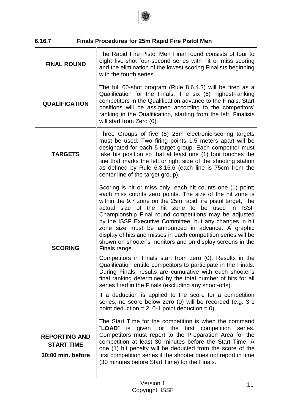

# **6.16.7 Finals Procedures for 25m Rapid Fire Pistol Men**

| <b>FINAL ROUND</b>                                             | The Rapid Fire Pistol Men Final round consists of four to<br>eight five-shot four-second series with hit or miss scoring<br>and the elimination of the lowest scoring Finalists beginning<br>with the fourth series.                                                                                                                                                                                                                                                                                                                                               |
|----------------------------------------------------------------|--------------------------------------------------------------------------------------------------------------------------------------------------------------------------------------------------------------------------------------------------------------------------------------------------------------------------------------------------------------------------------------------------------------------------------------------------------------------------------------------------------------------------------------------------------------------|
| <b>QUALIFICATION</b>                                           | The full 60-shot program (Rule 8.6.4.3) will be fired as a<br>Qualification for the Finals. The six (6) highest-ranking<br>competitors in the Qualification advance to the Finals. Start<br>positions will be assigned according to the competitors'<br>ranking in the Qualification, starting from the left. Finalists<br>will start from Zero (0).                                                                                                                                                                                                               |
| <b>TARGETS</b>                                                 | Three Groups of five (5) 25m electronic-scoring targets<br>must be used. Two firing points 1.5 meters apart will be<br>designated for each 5-target group. Each competitor must<br>take his position so that at least one (1) foot touches the<br>line that marks the left or right side of the shooting station<br>as defined by Rule 6.3.16.6 (each line is 75cm from the<br>center line of the target group).                                                                                                                                                   |
| <b>SCORING</b>                                                 | Scoring is hit or miss only; each hit counts one (1) point;<br>each miss counts zero points. The size of the hit zone is<br>within the 9.7 zone on the 25m rapid fire pistol target, The<br>actual size of the hit zone to be used in ISSF<br>Championship Final round competitions may be adjusted<br>by the ISSF Executive Committee, but any changes in hit<br>zone size must be announced in advance. A graphic<br>display of hits and misses in each competition series will be<br>shown on shooter's monitors and on display screens in the<br>Finals range. |
|                                                                | Competitors in Finals start from zero (0). Results in the<br>Qualification entitle competitors to participate in the Finals.<br>During Finals, results are cumulative with each shooter's<br>final ranking determined by the total number of hits for all<br>series fired in the Finals (excluding any shoot-offs).<br>If a deduction is applied to the score for a competition<br>series, no score below zero (0) will be recorded (e.g. 3-1                                                                                                                      |
|                                                                | point deduction = $2$ , 0-1 point deduction = 0).                                                                                                                                                                                                                                                                                                                                                                                                                                                                                                                  |
| <b>REPORTING AND</b><br><b>START TIME</b><br>30:00 min. before | The Start Time for the competition is when the command<br>"LOAD" is given for the first competition<br>series.<br>Competitors must report to the Preparation Area for the<br>competition at least 30 minutes before the Start Time. A<br>one (1) hit penalty will be deducted from the score of the<br>first competition series if the shooter does not report in time<br>(30 minutes before Start Time) for the Finals.                                                                                                                                           |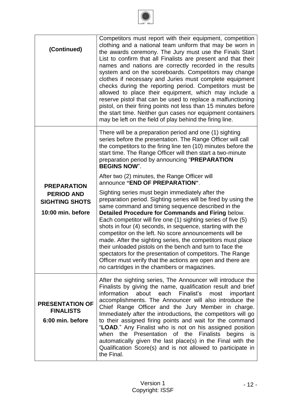

| (Continued)                                                                           | Competitors must report with their equipment, competition<br>clothing and a national team uniform that may be worn in<br>the awards ceremony. The Jury must use the Finals Start<br>List to confirm that all Finalists are present and that their<br>names and nations are correctly recorded in the results<br>system and on the scoreboards. Competitors may change<br>clothes if necessary and Juries must complete equipment<br>checks during the reporting period. Competitors must be<br>allowed to place their equipment, which may include a<br>reserve pistol that can be used to replace a malfunctioning<br>pistol, on their firing points not less than 15 minutes before<br>the start time. Neither gun cases nor equipment containers<br>may be left on the field of play behind the firing line. |
|---------------------------------------------------------------------------------------|-----------------------------------------------------------------------------------------------------------------------------------------------------------------------------------------------------------------------------------------------------------------------------------------------------------------------------------------------------------------------------------------------------------------------------------------------------------------------------------------------------------------------------------------------------------------------------------------------------------------------------------------------------------------------------------------------------------------------------------------------------------------------------------------------------------------|
|                                                                                       | There will be a preparation period and one (1) sighting<br>series before the presentation. The Range Officer will call<br>the competitors to the firing line ten (10) minutes before the<br>start time. The Range Officer will then start a two-minute<br>preparation period by announcing "PREPARATION<br><b>BEGINS NOW".</b>                                                                                                                                                                                                                                                                                                                                                                                                                                                                                  |
|                                                                                       | After two (2) minutes, the Range Officer will<br>announce "END OF PREPARATION".                                                                                                                                                                                                                                                                                                                                                                                                                                                                                                                                                                                                                                                                                                                                 |
| <b>PREPARATION</b><br><b>PERIOD AND</b><br><b>SIGHTING SHOTS</b><br>10:00 min. before | Sighting series must begin immediately after the<br>preparation period. Sighting series will be fired by using the<br>same command and timing sequence described in the<br>Detailed Procedure for Commands and Firing below.<br>Each competitor will fire one (1) sighting series of five (5)<br>shots in four (4) seconds, in sequence, starting with the<br>competitor on the left. No score announcements will be<br>made. After the sighting series, the competitors must place<br>their unloaded pistols on the bench and turn to face the<br>spectators for the presentation of competitors. The Range<br>Officer must verify that the actions are open and there are<br>no cartridges in the chambers or magazines.                                                                                      |
| <b>PRESENTATION OF</b><br><b>FINALISTS</b><br>6:00 min. before                        | After the sighting series, The Announcer will introduce the<br>Finalists by giving the name, qualification result and brief<br>information<br>about each<br>Finalist's<br>most<br>important<br>accomplishments. The Announcer will also introduce the<br>Chief Range Officer and the Jury Member in charge.<br>Immediately after the introductions, the competitors will go<br>to their assigned firing points and wait for the command<br>"LOAD." Any Finalist who is not on his assigned position<br>when<br>the Presentation<br>of the<br><b>Finalists</b><br>begins<br>is<br>automatically given the last place(s) in the Final with the<br>Qualification Score(s) and is not allowed to participate in<br>the Final.                                                                                       |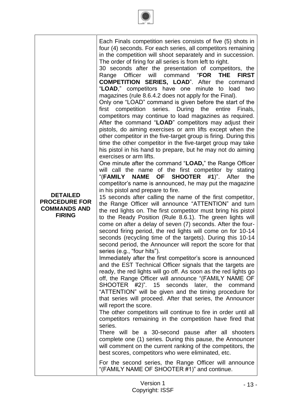|                                             | <b>DETAILED</b><br><b>PROCEDURE FOR</b><br><b>COMMANDS AND</b><br><b>FIRING</b> | Each Finals competition series consists of five (5) shots in<br>four (4) seconds. For each series, all competitors remaining<br>in the competition will shoot separately and in succession.<br>The order of firing for all series is from left to right.<br>30 seconds after the presentation of competitors, the<br>Range Officer will command "FOR THE<br><b>FIRST</b><br><b>COMPETITION SERIES, LOAD".</b> After the command<br>"LOAD," competitors have one minute to load<br>two<br>magazines (rule 8.6.4.2 does not apply for the Final).<br>Only one "LOAD" command is given before the start of the<br>first competition series. During the entire<br>Finals,<br>competitors may continue to load magazines as required.<br>After the command "LOAD" competitors may adjust their<br>pistols, do aiming exercises or arm lifts except when the<br>other competitor in the five-target group is firing. During this<br>time the other competitor in the five-target group may take<br>his pistol in his hand to prepare, but he may not do aiming<br>exercises or arm lifts.<br>One minute after the command "LOAD," the Range Officer<br>will call the name of the first competitor by stating<br>"(FAMILY NAME OF SHOOTER<br>$#1$ ". After<br>the<br>competitor's name is announced, he may put the magazine<br>in his pistol and prepare to fire.<br>15 seconds after calling the name of the first competitor,<br>the Range Officer will announce "ATTENTION" and turn<br>the red lights on. The first competitor must bring his pistol<br>to the Ready Position (Rule 8.6.1). The green lights will<br>come on after a delay of seven (7) seconds. After the four-<br>second firing period, the red lights will come on for 10-14<br>seconds (recycling time of the targets). During this 10-14<br>second period, the Announcer will report the score for that<br>series (e.g., "four hits").<br>Immediately after the first competitor's score is announced<br>and the EST Technical Officer signals that the targets are<br>ready, the red lights will go off. As soon as the red lights go<br>off, the Range Officer will announce "(FAMILY NAME OF<br>SHOOTER #2)". 15 seconds later, the<br>command<br>"ATTENTION" will be given and the timing procedure for<br>that series will proceed. After that series, the Announcer<br>will report the score.<br>The other competitors will continue to fire in order until all<br>competitors remaining in the competition have fired that<br>series.<br>There will be a 30-second pause after all shooters<br>complete one (1) series. During this pause, the Announcer<br>will comment on the current ranking of the competitors, the |
|---------------------------------------------|---------------------------------------------------------------------------------|---------------------------------------------------------------------------------------------------------------------------------------------------------------------------------------------------------------------------------------------------------------------------------------------------------------------------------------------------------------------------------------------------------------------------------------------------------------------------------------------------------------------------------------------------------------------------------------------------------------------------------------------------------------------------------------------------------------------------------------------------------------------------------------------------------------------------------------------------------------------------------------------------------------------------------------------------------------------------------------------------------------------------------------------------------------------------------------------------------------------------------------------------------------------------------------------------------------------------------------------------------------------------------------------------------------------------------------------------------------------------------------------------------------------------------------------------------------------------------------------------------------------------------------------------------------------------------------------------------------------------------------------------------------------------------------------------------------------------------------------------------------------------------------------------------------------------------------------------------------------------------------------------------------------------------------------------------------------------------------------------------------------------------------------------------------------------------------------------------------------------------------------------------------------------------------------------------------------------------------------------------------------------------------------------------------------------------------------------------------------------------------------------------------------------------------------------------------------------------------------------------------------------------------------------------------------------------------------------------------------------------------------------------------------------------------------------|
| "(FAMILY NAME OF SHOOTER #1)" and continue. |                                                                                 | best scores, competitors who were eliminated, etc.<br>For the second series, the Range Officer will announce                                                                                                                                                                                                                                                                                                                                                                                                                                                                                                                                                                                                                                                                                                                                                                                                                                                                                                                                                                                                                                                                                                                                                                                                                                                                                                                                                                                                                                                                                                                                                                                                                                                                                                                                                                                                                                                                                                                                                                                                                                                                                                                                                                                                                                                                                                                                                                                                                                                                                                                                                                                      |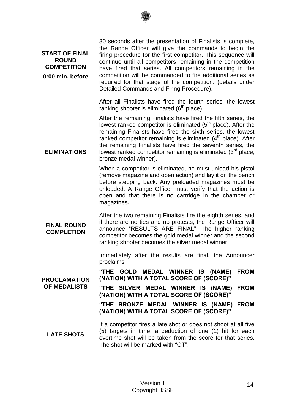

| <b>START OF FINAL</b><br><b>ROUND</b><br><b>COMPETITION</b><br>0:00 min. before | 30 seconds after the presentation of Finalists is complete,<br>the Range Officer will give the commands to begin the<br>firing procedure for the first competitor. This sequence will<br>continue until all competitors remaining in the competition<br>have fired that series. All competitors remaining in the<br>competition will be commanded to fire additional series as<br>required for that stage of the competition. (details under<br>Detailed Commands and Firing Procedure).                                                              |
|---------------------------------------------------------------------------------|-------------------------------------------------------------------------------------------------------------------------------------------------------------------------------------------------------------------------------------------------------------------------------------------------------------------------------------------------------------------------------------------------------------------------------------------------------------------------------------------------------------------------------------------------------|
| <b>ELIMINATIONS</b>                                                             | After all Finalists have fired the fourth series, the lowest<br>ranking shooter is eliminated (6 <sup>th</sup> place).<br>After the remaining Finalists have fired the fifth series, the<br>lowest ranked competitor is eliminated $(5th$ place). After the<br>remaining Finalists have fired the sixth series, the lowest<br>ranked competitor remaining is eliminated $(4th$ place). After<br>the remaining Finalists have fired the seventh series, the<br>lowest ranked competitor remaining is eliminated $(3rd$ place,<br>bronze medal winner). |
|                                                                                 | When a competitor is eliminated, he must unload his pistol<br>(remove magazine and open action) and lay it on the bench<br>before stepping back. Any preloaded magazines must be<br>unloaded. A Range Officer must verify that the action is<br>open and that there is no cartridge in the chamber or<br>magazines.                                                                                                                                                                                                                                   |
| <b>FINAL ROUND</b><br><b>COMPLETION</b>                                         | After the two remaining Finalists fire the eighth series, and<br>if there are no ties and no protests, the Range Officer will<br>announce "RESULTS ARE FINAL". The higher ranking<br>competitor becomes the gold medal winner and the second<br>ranking shooter becomes the silver medal winner.                                                                                                                                                                                                                                                      |
|                                                                                 | Immediately after the results are final, the Announcer<br>proclaims:<br>"THE GOLD MEDAL WINNER IS (NAME)<br><b>FROM</b>                                                                                                                                                                                                                                                                                                                                                                                                                               |
| <b>PROCLAMATION</b><br><b>OF MEDALISTS</b>                                      | (NATION) WITH A TOTAL SCORE OF (SCORE)"<br>"THE SILVER MEDAL WINNER IS (NAME)<br><b>FROM</b>                                                                                                                                                                                                                                                                                                                                                                                                                                                          |
|                                                                                 | (NATION) WITH A TOTAL SCORE OF (SCORE)"                                                                                                                                                                                                                                                                                                                                                                                                                                                                                                               |
|                                                                                 | "THE BRONZE MEDAL WINNER IS (NAME) FROM<br>(NATION) WITH A TOTAL SCORE OF (SCORE)"                                                                                                                                                                                                                                                                                                                                                                                                                                                                    |
| <b>LATE SHOTS</b>                                                               | If a competitor fires a late shot or does not shoot at all five<br>(5) targets in time, a deduction of one (1) hit for each<br>overtime shot will be taken from the score for that series.<br>The shot will be marked with "OT".                                                                                                                                                                                                                                                                                                                      |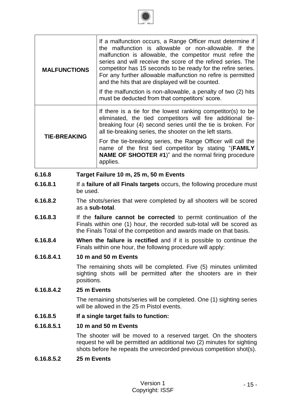| <b>MALFUNCTIONS</b>                              | If a malfunction occurs, a Range Officer must determine if<br>the malfunction is allowable or non-allowable. If the<br>malfunction is allowable, the competitor must refire the<br>series and will receive the score of the refired series. The<br>competitor has 15 seconds to be ready for the refire series.<br>For any further allowable malfunction no refire is permitted<br>and the hits that are displayed will be counted. |  |
|--------------------------------------------------|-------------------------------------------------------------------------------------------------------------------------------------------------------------------------------------------------------------------------------------------------------------------------------------------------------------------------------------------------------------------------------------------------------------------------------------|--|
|                                                  | If the malfunction is non-allowable, a penalty of two (2) hits<br>must be deducted from that competitors' score.                                                                                                                                                                                                                                                                                                                    |  |
| <b>TIE-BREAKING</b>                              | If there is a tie for the lowest ranking competitor(s) to be<br>eliminated, the tied competitors will fire additional tie-<br>breaking four (4) second series until the tie is broken. For<br>all tie-breaking series, the shooter on the left starts.                                                                                                                                                                              |  |
|                                                  | For the tie-breaking series, the Range Officer will call the<br>name of the first tied competitor by stating "(FAMILY<br><b>NAME OF SHOOTER #1)</b> " and the normal firing procedure<br>applies.                                                                                                                                                                                                                                   |  |
| 6.16.8<br>Target Failure 10 m, 25 m, 50 m Events |                                                                                                                                                                                                                                                                                                                                                                                                                                     |  |

- **6.16.8.1** If a **failure of all Finals targets** occurs, the following procedure must be used.
- **6.16.8.2** The shots/series that were completed by all shooters will be scored as a **sub-total**.
- **6.16.8.3** If the **failure cannot be corrected** to permit continuation of the Finals within one (1) hour, the recorded sub-total will be scored as the Finals Total of the competition and awards made on that basis.
- **6.16.8.4 When the failure is rectified** and if it is possible to continue the Finals within one hour, the following procedure will apply:

# **6.16.8.4.1 10 m and 50 m Events**

The remaining shots will be completed. Five (5) minutes unlimited sighting shots will be permitted after the shooters are in their positions.

# **6.16.8.4.2 25 m Events**

The remaining shots/series will be completed. One (1) sighting series will be allowed in the 25 m Pistol events.

### **6.16.8.5 If a single target fails to function:**

### **6.16.8.5.1 10 m and 50 m Events**

The shooter will be moved to a reserved target. On the shooters request he will be permitted an additional two (2) minutes for sighting shots before he repeats the unrecorded previous competition shot(s).

### **6.16.8.5.2 25 m Events**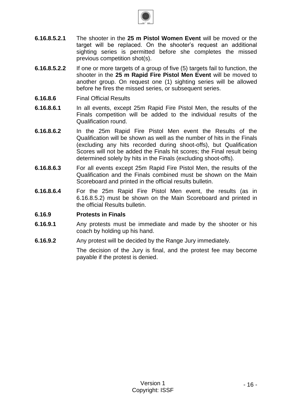

- **6.16.8.5.2.1** The shooter in the **25 m Pistol Women Event** will be moved or the target will be replaced. On the shooter's request an additional sighting series is permitted before she completes the missed previous competition shot(s).
- **6.16.8.5.2.2** If one or more targets of a group of five (5) targets fail to function, the shooter in the **25 m Rapid Fire Pistol Men Event** will be moved to another group. On request one (1) sighting series will be allowed before he fires the missed series, or subsequent series.
- **6.16.8.6** Final Official Results
- **6.16.8.6.1** In all events, except 25m Rapid Fire Pistol Men, the results of the Finals competition will be added to the individual results of the Qualification round.
- **6.16.8.6.2** In the 25m Rapid Fire Pistol Men event the Results of the Qualification will be shown as well as the number of hits in the Finals (excluding any hits recorded during shoot-offs), but Qualification Scores will not be added the Finals hit scores; the Final result being determined solely by hits in the Finals (excluding shoot-offs).
- **6.16.8.6.3** For all events except 25m Rapid Fire Pistol Men, the results of the Qualification and the Finals combined must be shown on the Main Scoreboard and printed in the official results bulletin.
- **6.16.8.6.4** For the 25m Rapid Fire Pistol Men event, the results (as in 6.16.8.5.2) must be shown on the Main Scoreboard and printed in the official Results bulletin.

### **6.16.9 Protests in Finals**

- **6.16.9.1** Any protests must be immediate and made by the shooter or his coach by holding up his hand.
- **6.16.9.2** Any protest will be decided by the Range Jury immediately.

The decision of the Jury is final, and the protest fee may become payable if the protest is denied.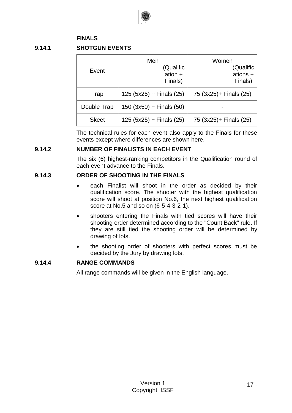

# **FINALS**

# **9.14.1 SHOTGUN EVENTS**

| Event        | Men<br>(Qualific<br>ation $+$<br>Finals) | Women<br>(Qualific<br>ations +<br>Finals) |
|--------------|------------------------------------------|-------------------------------------------|
| Trap         | $125 (5x25) +$ Finals (25)               | 75 (3x25)+ Finals (25)                    |
| Double Trap  | $150 (3x50) +$ Finals (50)               |                                           |
| <b>Skeet</b> | $125 (5x25) +$ Finals (25)               | 75 (3x25)+ Finals (25)                    |

The technical rules for each event also apply to the Finals for these events except where differences are shown here.

#### **9.14.2 NUMBER OF FINALISTS IN EACH EVENT**

The six (6) highest-ranking competitors in the Qualification round of each event advance to the Finals.

# **9.14.3 ORDER OF SHOOTING IN THE FINALS**

- each Finalist will shoot in the order as decided by their qualification score. The shooter with the highest qualification score will shoot at position No.6, the next highest qualification score at No.5 and so on (6-5-4-3-2-1).
- shooters entering the Finals with tied scores will have their shooting order determined according to the "Count Back" rule. If they are still tied the shooting order will be determined by drawing of lots.
- the shooting order of shooters with perfect scores must be decided by the Jury by drawing lots.

# **9.14.4 RANGE COMMANDS**

All range commands will be given in the English language.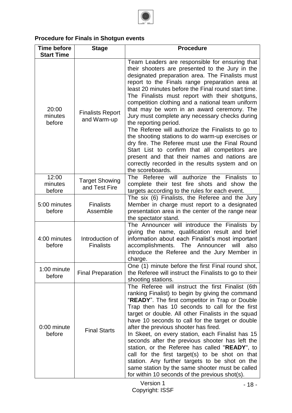

# **Procedure for Finals in Shotgun events**

| <b>Time before</b><br><b>Start Time</b> | <b>Stage</b>                           | <b>Procedure</b>                                                                                                                                                                                                                                                                                                                                                                                                                                                                                                                                                                                                                                                                                                                                                                                                                 |
|-----------------------------------------|----------------------------------------|----------------------------------------------------------------------------------------------------------------------------------------------------------------------------------------------------------------------------------------------------------------------------------------------------------------------------------------------------------------------------------------------------------------------------------------------------------------------------------------------------------------------------------------------------------------------------------------------------------------------------------------------------------------------------------------------------------------------------------------------------------------------------------------------------------------------------------|
| 20:00<br>minutes<br>before              | <b>Finalists Report</b><br>and Warm-up | Team Leaders are responsible for ensuring that<br>their shooters are presented to the Jury in the<br>designated preparation area. The Finalists must<br>report to the Finals range preparation area at<br>least 20 minutes before the Final round start time.<br>The Finalists must report with their shotguns,<br>competition clothing and a national team uniform<br>that may be worn in an award ceremony. The<br>Jury must complete any necessary checks during<br>the reporting period.<br>The Referee will authorize the Finalists to go to<br>the shooting stations to do warm-up exercises or<br>dry fire. The Referee must use the Final Round<br>Start List to confirm that all competitors are<br>present and that their names and nations are<br>correctly recorded in the results system and on<br>the scoreboards. |
| 12:00<br>minutes<br>before              | <b>Target Showing</b><br>and Test Fire | The Referee will authorize the Finalists to<br>complete their test fire shots and show the<br>targets according to the rules for each event.                                                                                                                                                                                                                                                                                                                                                                                                                                                                                                                                                                                                                                                                                     |
| 5:00 minutes<br>before                  | <b>Finalists</b><br>Assemble           | The six (6) Finalists, the Referee and the Jury<br>Member in charge must report to a designated<br>presentation area in the center of the range near<br>the spectator stand.                                                                                                                                                                                                                                                                                                                                                                                                                                                                                                                                                                                                                                                     |
| 4:00 minutes<br>before                  | Introduction of<br><b>Finalists</b>    | The Announcer will introduce the Finalists by<br>giving the name, qualification result and brief<br>information about each Finalist's most important<br>also<br>accomplishments. The Announcer will<br>introduce the Referee and the Jury Member in<br>charge.                                                                                                                                                                                                                                                                                                                                                                                                                                                                                                                                                                   |
| 1:00 minute<br>before                   | <b>Final Preparation</b>               | One (1) minute before the first Final round shot,<br>the Referee will instruct the Finalists to go to their<br>shooting stations.                                                                                                                                                                                                                                                                                                                                                                                                                                                                                                                                                                                                                                                                                                |
| 0:00 minute<br>before                   | <b>Final Starts</b>                    | The Referee will instruct the first Finalist (6th<br>ranking Finalist) to begin by giving the command<br>"READY". The first competitor in Trap or Double<br>Trap then has 10 seconds to call for the first<br>target or double. All other Finalists in the squad<br>have 10 seconds to call for the target or double<br>after the previous shooter has fired.<br>In Skeet, on every station, each Finalist has 15<br>seconds after the previous shooter has left the<br>station, or the Referee has called "READY", to<br>call for the first target(s) to be shot on that<br>station. Any further targets to be shot on the<br>same station by the same shooter must be called<br>for within 10 seconds of the previous shot(s).                                                                                                 |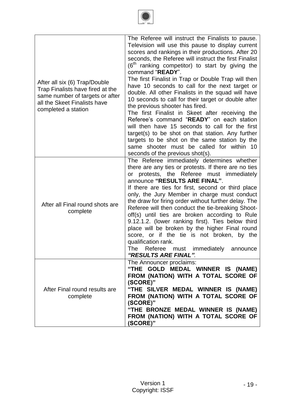

| After all six (6) Trap/Double<br>Trap Finalists have fired at the<br>same number of targets or after<br>all the Skeet Finalists have<br>completed a station | The Referee will instruct the Finalists to pause.<br>Television will use this pause to display current<br>scores and rankings in their productions. After 20<br>seconds, the Referee will instruct the first Finalist<br>$(6th$ ranking competitor) to start by giving the<br>command "READY".<br>The first Finalist in Trap or Double Trap will then<br>have 10 seconds to call for the next target or<br>double. All other Finalists in the squad will have<br>10 seconds to call for their target or double after<br>the previous shooter has fired.<br>The first Finalist in Skeet after receiving the<br>Referee's command "READY" on each station<br>will then have 15 seconds to call for the first<br>target(s) to be shot on that station. Any further<br>targets to be shot on the same station by the<br>same shooter must be called for within 10<br>seconds of the previous shot(s). |
|-------------------------------------------------------------------------------------------------------------------------------------------------------------|---------------------------------------------------------------------------------------------------------------------------------------------------------------------------------------------------------------------------------------------------------------------------------------------------------------------------------------------------------------------------------------------------------------------------------------------------------------------------------------------------------------------------------------------------------------------------------------------------------------------------------------------------------------------------------------------------------------------------------------------------------------------------------------------------------------------------------------------------------------------------------------------------|
| After all Final round shots are<br>complete                                                                                                                 | The Referee immediately determines whether<br>there are any ties or protests. If there are no ties<br>protests, the Referee must immediately<br>or<br>announce "RESULTS ARE FINAL".<br>If there are ties for first, second or third place<br>only, the Jury Member in charge must conduct<br>the draw for firing order without further delay. The<br>Referee will then conduct the tie-breaking Shoot-<br>off(s) until ties are broken according to Rule<br>9.12.1.2. (lower ranking first). Ties below third<br>place will be broken by the higher Final round<br>score, or if the tie is not broken, by the<br>qualification rank.<br>The<br>Referee<br>immediately<br>must<br>announce<br>"RESULTS ARE FINAL".                                                                                                                                                                                 |
| After Final round results are<br>complete                                                                                                                   | The Announcer proclaims:<br>"THE GOLD MEDAL WINNER IS (NAME)<br>FROM (NATION) WITH A TOTAL SCORE OF<br>(SCORE)"<br>"THE SILVER MEDAL WINNER IS (NAME)<br>FROM (NATION) WITH A TOTAL SCORE OF<br>(SCORE)"<br>"THE BRONZE MEDAL WINNER IS (NAME)<br>FROM (NATION) WITH A TOTAL SCORE OF<br>(SCORE)"                                                                                                                                                                                                                                                                                                                                                                                                                                                                                                                                                                                                 |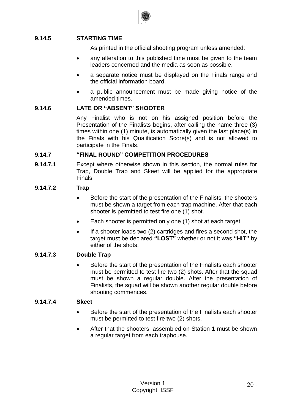

# **9.14.5 STARTING TIME**

As printed in the official shooting program unless amended:

- any alteration to this published time must be given to the team leaders concerned and the media as soon as possible.
- a separate notice must be displayed on the Finals range and the official information board.
- a public announcement must be made giving notice of the amended times.

# **9.14.6 LATE OR "ABSENT" SHOOTER**

Any Finalist who is not on his assigned position before the Presentation of the Finalists begins, after calling the name three (3) times within one (1) minute, is automatically given the last place(s) in the Finals with his Qualification Score(s) and is not allowed to participate in the Finals.

### **9.14.7 "FINAL ROUND" COMPETITION PROCEDURES**

**9.14.7.1** Except where otherwise shown in this section, the normal rules for Trap, Double Trap and Skeet will be applied for the appropriate Finals.

### **9.14.7.2 Trap**

- Before the start of the presentation of the Finalists, the shooters must be shown a target from each trap machine. After that each shooter is permitted to test fire one (1) shot.
- Each shooter is permitted only one (1) shot at each target.
- If a shooter loads two (2) cartridges and fires a second shot, the target must be declared **"LOST"** whether or not it was **"HIT"** by either of the shots.

### **9.14.7.3 Double Trap**

 Before the start of the presentation of the Finalists each shooter must be permitted to test fire two (2) shots. After that the squad must be shown a regular double. After the presentation of Finalists, the squad will be shown another regular double before shooting commences.

### **9.14.7.4 Skeet**

- Before the start of the presentation of the Finalists each shooter must be permitted to test fire two (2) shots.
- After that the shooters, assembled on Station 1 must be shown a regular target from each traphouse.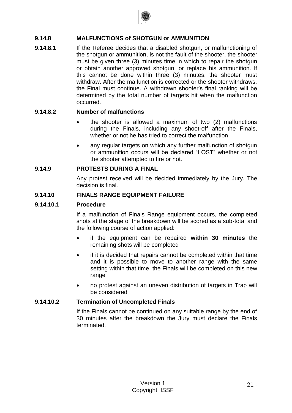

# **9.14.8 MALFUNCTIONS of SHOTGUN or AMMUNITION**

**9.14.8.1** If the Referee decides that a disabled shotgun, or malfunctioning of the shotgun or ammunition, is not the fault of the shooter, the shooter must be given three (3) minutes time in which to repair the shotgun or obtain another approved shotgun, or replace his ammunition. If this cannot be done within three (3) minutes, the shooter must withdraw. After the malfunction is corrected or the shooter withdraws, the Final must continue. A withdrawn shooter's final ranking will be determined by the total number of targets hit when the malfunction occurred.

### **9.14.8.2 Number of malfunctions**

- the shooter is allowed a maximum of two (2) malfunctions during the Finals, including any shoot-off after the Finals, whether or not he has tried to correct the malfunction
- any regular targets on which any further malfunction of shotgun or ammunition occurs will be declared "LOST" whether or not the shooter attempted to fire or not.

#### **9.14.9 PROTESTS DURING A FINAL**

Any protest received will be decided immediately by the Jury. The decision is final.

#### **9.14.10 FINALS RANGE EQUIPMENT FAILURE**

#### **9.14.10.1 Procedure**

If a malfunction of Finals Range equipment occurs, the completed shots at the stage of the breakdown will be scored as a sub-total and the following course of action applied:

- if the equipment can be repaired **within 30 minutes** the remaining shots will be completed
- if it is decided that repairs cannot be completed within that time and it is possible to move to another range with the same setting within that time, the Finals will be completed on this new range
- no protest against an uneven distribution of targets in Trap will be considered

#### **9.14.10.2 Termination of Uncompleted Finals**

If the Finals cannot be continued on any suitable range by the end of 30 minutes after the breakdown the Jury must declare the Finals terminated.